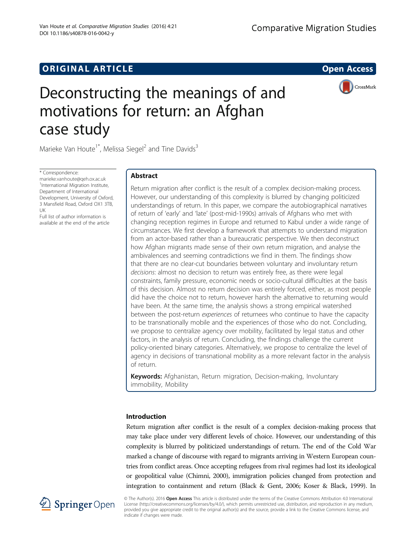# **ORIGINAL ARTICLE CONSERVANCE IN A LOCAL CONSERVANCE IN A LOCAL CONSERVANCE IN A LOCAL CONSERVANCE IN A LOCAL CONSERVANCE IN A LOCAL CONSERVANCE IN A LOCAL CONSERVANCE IN A LOCAL CONSERVANCE IN A LOCAL CONSERVANCE IN A L**

# Deconstructing the meanings of and motivations for return: an Afghan case study



Marieke Van Houte<sup>1\*</sup>, Melissa Siegel<sup>2</sup> and Tine Davids<sup>3</sup>

\* Correspondence: [marieke.vanhoute@qeh.ox.ac.uk](mailto:marieke.vanhoute@qeh.ox.ac.uk) <sup>1</sup>International Migration Institute, Department of International Development, University of Oxford, 3 Mansfield Road, Oxford OX1 3TB, UK Full list of author information is

available at the end of the article

# Abstract

Return migration after conflict is the result of a complex decision-making process. However, our understanding of this complexity is blurred by changing politicized understandings of return. In this paper, we compare the autobiographical narratives of return of 'early' and 'late' (post-mid-1990s) arrivals of Afghans who met with changing reception regimes in Europe and returned to Kabul under a wide range of circumstances. We first develop a framework that attempts to understand migration from an actor-based rather than a bureaucratic perspective. We then deconstruct how Afghan migrants made sense of their own return migration, and analyse the ambivalences and seeming contradictions we find in them. The findings show that there are no clear-cut boundaries between voluntary and involuntary return decisions: almost no decision to return was entirely free, as there were legal constraints, family pressure, economic needs or socio-cultural difficulties at the basis of this decision. Almost no return decision was entirely forced, either, as most people did have the choice not to return, however harsh the alternative to returning would have been. At the same time, the analysis shows a strong empirical watershed between the post-return experiences of returnees who continue to have the capacity to be transnationally mobile and the experiences of those who do not. Concluding, we propose to centralize agency over mobility, facilitated by legal status and other factors, in the analysis of return. Concluding, the findings challenge the current policy-oriented binary categories. Alternatively, we propose to centralize the level of agency in decisions of transnational mobility as a more relevant factor in the analysis of return.

Keywords: Afghanistan, Return migration, Decision-making, Involuntary immobility, Mobility

# Introduction

Return migration after conflict is the result of a complex decision-making process that may take place under very different levels of choice. However, our understanding of this complexity is blurred by politicized understandings of return. The end of the Cold War marked a change of discourse with regard to migrants arriving in Western European countries from conflict areas. Once accepting refugees from rival regimes had lost its ideological or geopolitical value (Chimni, [2000](#page-15-0)), immigration policies changed from protection and integration to containment and return (Black & Gent, [2006](#page-15-0); Koser & Black, [1999\)](#page-16-0). In



© The Author(s). 2016 Open Access This article is distributed under the terms of the Creative Commons Attribution 4.0 International License [\(http://creativecommons.org/licenses/by/4.0/](http://creativecommons.org/licenses/by/4.0/)), which permits unrestricted use, distribution, and reproduction in any medium, provided you give appropriate credit to the original author(s) and the source, provide a link to the Creative Commons license, and indicate if changes were made.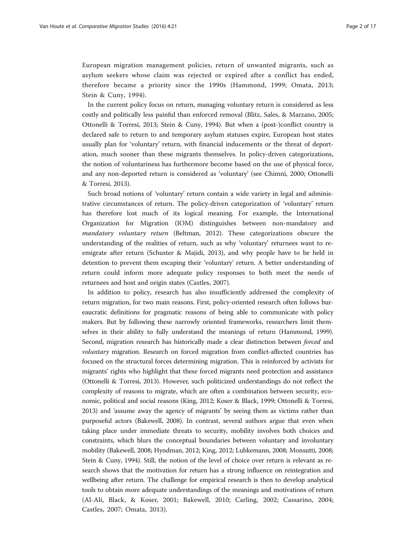European migration management policies, return of unwanted migrants, such as asylum seekers whose claim was rejected or expired after a conflict has ended, therefore became a priority since the 1990s (Hammond, [1999](#page-16-0); Omata, [2013](#page-16-0); Stein & Cuny, [1994](#page-16-0)).

In the current policy focus on return, managing voluntary return is considered as less costly and politically less painful than enforced removal (Blitz, Sales, & Marzano, [2005](#page-15-0); Ottonelli & Torresi, [2013](#page-16-0); Stein & Cuny, [1994](#page-16-0)). But when a (post-)conflict country is declared safe to return to and temporary asylum statuses expire, European host states usually plan for 'voluntary' return, with financial inducements or the threat of deportation, much sooner than these migrants themselves. In policy-driven categorizations, the notion of voluntariness has furthermore become based on the use of physical force, and any non-deported return is considered as 'voluntary' (see Chimni, [2000](#page-15-0); Ottonelli & Torresi, [2013](#page-16-0)).

Such broad notions of 'voluntary' return contain a wide variety in legal and administrative circumstances of return. The policy-driven categorization of 'voluntary' return has therefore lost much of its logical meaning. For example, the International Organization for Migration (IOM) distinguishes between non-mandatory and mandatory voluntary return (Beltman, [2012](#page-15-0)). These categorizations obscure the understanding of the realities of return, such as why 'voluntary' returnees want to reemigrate after return (Schuster & Majidi, [2013](#page-16-0)), and why people have to be held in detention to prevent them escaping their 'voluntary' return. A better understanding of return could inform more adequate policy responses to both meet the needs of returnees and host and origin states (Castles, [2007\)](#page-15-0).

In addition to policy, research has also insufficiently addressed the complexity of return migration, for two main reasons. First, policy-oriented research often follows bureaucratic definitions for pragmatic reasons of being able to communicate with policy makers. But by following these narrowly oriented frameworks, researchers limit themselves in their ability to fully understand the meanings of return (Hammond, [1999](#page-16-0)). Second, migration research has historically made a clear distinction between forced and voluntary migration. Research on forced migration from conflict-affected countries has focused on the structural forces determining migration. This is reinforced by activists for migrants' rights who highlight that these forced migrants need protection and assistance (Ottonelli & Torresi, [2013\)](#page-16-0). However, such politicized understandings do not reflect the complexity of reasons to migrate, which are often a combination between security, economic, political and social reasons (King, [2012](#page-16-0); Koser & Black, [1999](#page-16-0); Ottonelli & Torresi, [2013\)](#page-16-0) and 'assume away the agency of migrants' by seeing them as victims rather than purposeful actors (Bakewell, [2008\)](#page-15-0). In contrast, several authors argue that even when taking place under immediate threats to security, mobility involves both choices and constraints, which blurs the conceptual boundaries between voluntary and involuntary mobility (Bakewell, [2008;](#page-15-0) Hyndman, [2012;](#page-16-0) King, [2012;](#page-16-0) Lubkemann, [2008;](#page-16-0) Monsutti, [2008](#page-16-0); Stein & Cuny, [1994\)](#page-16-0). Still, the notion of the level of choice over return is relevant as research shows that the motivation for return has a strong influence on reintegration and wellbeing after return. The challenge for empirical research is then to develop analytical tools to obtain more adequate understandings of the meanings and motivations of return (Al-Ali, Black, & Koser, [2001;](#page-15-0) Bakewell, [2010](#page-15-0); Carling, [2002;](#page-15-0) Cassarino, [2004](#page-15-0); Castles, [2007](#page-15-0); Omata, [2013](#page-16-0)).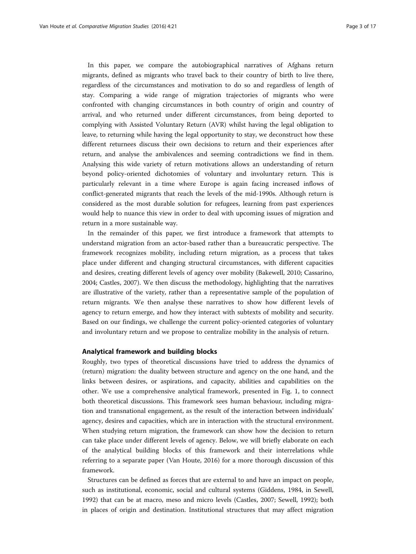In this paper, we compare the autobiographical narratives of Afghans return migrants, defined as migrants who travel back to their country of birth to live there, regardless of the circumstances and motivation to do so and regardless of length of stay. Comparing a wide range of migration trajectories of migrants who were confronted with changing circumstances in both country of origin and country of arrival, and who returned under different circumstances, from being deported to complying with Assisted Voluntary Return (AVR) whilst having the legal obligation to leave, to returning while having the legal opportunity to stay, we deconstruct how these different returnees discuss their own decisions to return and their experiences after return, and analyse the ambivalences and seeming contradictions we find in them. Analysing this wide variety of return motivations allows an understanding of return beyond policy-oriented dichotomies of voluntary and involuntary return. This is particularly relevant in a time where Europe is again facing increased inflows of conflict-generated migrants that reach the levels of the mid-1990s. Although return is considered as the most durable solution for refugees, learning from past experiences would help to nuance this view in order to deal with upcoming issues of migration and return in a more sustainable way.

In the remainder of this paper, we first introduce a framework that attempts to understand migration from an actor-based rather than a bureaucratic perspective. The framework recognizes mobility, including return migration, as a process that takes place under different and changing structural circumstances, with different capacities and desires, creating different levels of agency over mobility (Bakewell, [2010](#page-15-0); Cassarino, [2004](#page-15-0); Castles, [2007](#page-15-0)). We then discuss the methodology, highlighting that the narratives are illustrative of the variety, rather than a representative sample of the population of return migrants. We then analyse these narratives to show how different levels of agency to return emerge, and how they interact with subtexts of mobility and security. Based on our findings, we challenge the current policy-oriented categories of voluntary and involuntary return and we propose to centralize mobility in the analysis of return.

## Analytical framework and building blocks

Roughly, two types of theoretical discussions have tried to address the dynamics of (return) migration: the duality between structure and agency on the one hand, and the links between desires, or aspirations, and capacity, abilities and capabilities on the other. We use a comprehensive analytical framework, presented in Fig. [1,](#page-3-0) to connect both theoretical discussions. This framework sees human behaviour, including migration and transnational engagement, as the result of the interaction between individuals' agency, desires and capacities, which are in interaction with the structural environment. When studying return migration, the framework can show how the decision to return can take place under different levels of agency. Below, we will briefly elaborate on each of the analytical building blocks of this framework and their interrelations while referring to a separate paper (Van Houte, [2016\)](#page-16-0) for a more thorough discussion of this framework.

Structures can be defined as forces that are external to and have an impact on people, such as institutional, economic, social and cultural systems (Giddens, 1984, in Sewell, [1992](#page-16-0)) that can be at macro, meso and micro levels (Castles, [2007;](#page-15-0) Sewell, [1992\)](#page-16-0); both in places of origin and destination. Institutional structures that may affect migration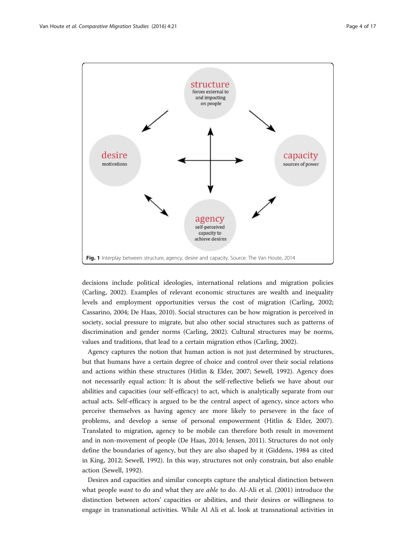<span id="page-3-0"></span>

decisions include political ideologies, international relations and migration policies (Carling, [2002](#page-15-0)). Examples of relevant economic structures are wealth and inequality levels and employment opportunities versus the cost of migration (Carling, [2002](#page-15-0); Cassarino, [2004](#page-15-0); De Haas, [2010](#page-15-0)). Social structures can be how migration is perceived in society, social pressure to migrate, but also other social structures such as patterns of discrimination and gender norms (Carling, [2002\)](#page-15-0). Cultural structures may be norms, values and traditions, that lead to a certain migration ethos (Carling, [2002](#page-15-0)).

Agency captures the notion that human action is not just determined by structures, but that humans have a certain degree of choice and control over their social relations and actions within these structures (Hitlin & Elder, [2007;](#page-16-0) Sewell, [1992\)](#page-16-0). Agency does not necessarily equal action: It is about the self-reflective beliefs we have about our abilities and capacities (our self-efficacy) to act, which is analytically separate from our actual acts. Self-efficacy is argued to be the central aspect of agency, since actors who perceive themselves as having agency are more likely to persevere in the face of problems, and develop a sense of personal empowerment (Hitlin & Elder, [2007](#page-16-0)). Translated to migration, agency to be mobile can therefore both result in movement and in non-movement of people (De Haas, [2014;](#page-16-0) Jensen, [2011\)](#page-16-0). Structures do not only define the boundaries of agency, but they are also shaped by it (Giddens, 1984 as cited in King, [2012](#page-16-0); Sewell, [1992\)](#page-16-0). In this way, structures not only constrain, but also enable action (Sewell, [1992](#page-16-0)).

Desires and capacities and similar concepts capture the analytical distinction between what people want to do and what they are able to do. Al-Ali et al. ([2001](#page-15-0)) introduce the distinction between actors' capacities or abilities, and their desires or willingness to engage in transnational activities. While Al Ali et al. look at transnational activities in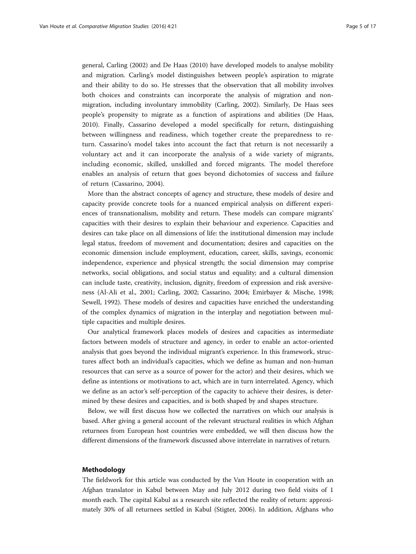general, Carling ([2002\)](#page-15-0) and De Haas ([2010\)](#page-15-0) have developed models to analyse mobility and migration. Carling's model distinguishes between people's aspiration to migrate and their ability to do so. He stresses that the observation that all mobility involves both choices and constraints can incorporate the analysis of migration and nonmigration, including involuntary immobility (Carling, [2002](#page-15-0)). Similarly, De Haas sees people's propensity to migrate as a function of aspirations and abilities (De Haas, [2010](#page-15-0)). Finally, Cassarino developed a model specifically for return, distinguishing between willingness and readiness, which together create the preparedness to return. Cassarino's model takes into account the fact that return is not necessarily a voluntary act and it can incorporate the analysis of a wide variety of migrants, including economic, skilled, unskilled and forced migrants. The model therefore enables an analysis of return that goes beyond dichotomies of success and failure of return (Cassarino, [2004\)](#page-15-0).

More than the abstract concepts of agency and structure, these models of desire and capacity provide concrete tools for a nuanced empirical analysis on different experiences of transnationalism, mobility and return. These models can compare migrants' capacities with their desires to explain their behaviour and experience. Capacities and desires can take place on all dimensions of life: the institutional dimension may include legal status, freedom of movement and documentation; desires and capacities on the economic dimension include employment, education, career, skills, savings, economic independence, experience and physical strength; the social dimension may comprise networks, social obligations, and social status and equality; and a cultural dimension can include taste, creativity, inclusion, dignity, freedom of expression and risk aversiveness (Al-Ali et al., [2001;](#page-15-0) Carling, [2002;](#page-15-0) Cassarino, [2004](#page-15-0); Emirbayer & Mische, [1998](#page-16-0); Sewell, [1992\)](#page-16-0). These models of desires and capacities have enriched the understanding of the complex dynamics of migration in the interplay and negotiation between multiple capacities and multiple desires.

Our analytical framework places models of desires and capacities as intermediate factors between models of structure and agency, in order to enable an actor-oriented analysis that goes beyond the individual migrant's experience. In this framework, structures affect both an individual's capacities, which we define as human and non-human resources that can serve as a source of power for the actor) and their desires, which we define as intentions or motivations to act, which are in turn interrelated. Agency, which we define as an actor's self-perception of the capacity to achieve their desires, is determined by these desires and capacities, and is both shaped by and shapes structure.

Below, we will first discuss how we collected the narratives on which our analysis is based. After giving a general account of the relevant structural realities in which Afghan returnees from European host countries were embedded, we will then discuss how the different dimensions of the framework discussed above interrelate in narratives of return.

# Methodology

The fieldwork for this article was conducted by the Van Houte in cooperation with an Afghan translator in Kabul between May and July 2012 during two field visits of 1 month each. The capital Kabul as a research site reflected the reality of return: approximately 30% of all returnees settled in Kabul (Stigter, [2006\)](#page-16-0). In addition, Afghans who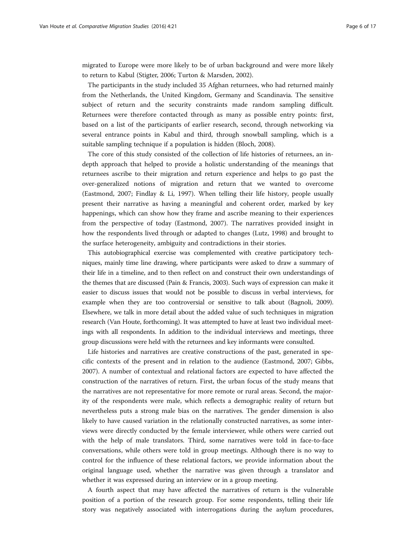migrated to Europe were more likely to be of urban background and were more likely to return to Kabul (Stigter, [2006](#page-16-0); Turton & Marsden, [2002\)](#page-16-0).

The participants in the study included 35 Afghan returnees, who had returned mainly from the Netherlands, the United Kingdom, Germany and Scandinavia. The sensitive subject of return and the security constraints made random sampling difficult. Returnees were therefore contacted through as many as possible entry points: first, based on a list of the participants of earlier research, second, through networking via several entrance points in Kabul and third, through snowball sampling, which is a suitable sampling technique if a population is hidden (Bloch, [2008](#page-15-0)).

The core of this study consisted of the collection of life histories of returnees, an indepth approach that helped to provide a holistic understanding of the meanings that returnees ascribe to their migration and return experience and helps to go past the over-generalized notions of migration and return that we wanted to overcome (Eastmond, [2007;](#page-16-0) Findlay & Li, [1997](#page-16-0)). When telling their life history, people usually present their narrative as having a meaningful and coherent order, marked by key happenings, which can show how they frame and ascribe meaning to their experiences from the perspective of today (Eastmond, [2007\)](#page-16-0). The narratives provided insight in how the respondents lived through or adapted to changes (Lutz, [1998](#page-16-0)) and brought to the surface heterogeneity, ambiguity and contradictions in their stories.

This autobiographical exercise was complemented with creative participatory techniques, mainly time line drawing, where participants were asked to draw a summary of their life in a timeline, and to then reflect on and construct their own understandings of the themes that are discussed (Pain & Francis, [2003\)](#page-16-0). Such ways of expression can make it easier to discuss issues that would not be possible to discuss in verbal interviews, for example when they are too controversial or sensitive to talk about (Bagnoli, [2009](#page-15-0)). Elsewhere, we talk in more detail about the added value of such techniques in migration research (Van Houte, forthcoming). It was attempted to have at least two individual meetings with all respondents. In addition to the individual interviews and meetings, three group discussions were held with the returnees and key informants were consulted.

Life histories and narratives are creative constructions of the past, generated in specific contexts of the present and in relation to the audience (Eastmond, [2007](#page-16-0); Gibbs, [2007](#page-16-0)). A number of contextual and relational factors are expected to have affected the construction of the narratives of return. First, the urban focus of the study means that the narratives are not representative for more remote or rural areas. Second, the majority of the respondents were male, which reflects a demographic reality of return but nevertheless puts a strong male bias on the narratives. The gender dimension is also likely to have caused variation in the relationally constructed narratives, as some interviews were directly conducted by the female interviewer, while others were carried out with the help of male translators. Third, some narratives were told in face-to-face conversations, while others were told in group meetings. Although there is no way to control for the influence of these relational factors, we provide information about the original language used, whether the narrative was given through a translator and whether it was expressed during an interview or in a group meeting.

A fourth aspect that may have affected the narratives of return is the vulnerable position of a portion of the research group. For some respondents, telling their life story was negatively associated with interrogations during the asylum procedures,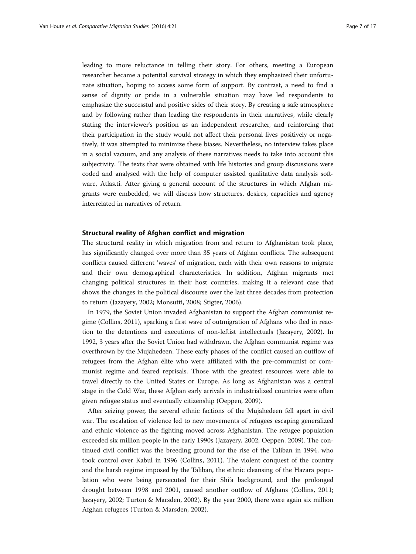leading to more reluctance in telling their story. For others, meeting a European researcher became a potential survival strategy in which they emphasized their unfortunate situation, hoping to access some form of support. By contrast, a need to find a sense of dignity or pride in a vulnerable situation may have led respondents to emphasize the successful and positive sides of their story. By creating a safe atmosphere and by following rather than leading the respondents in their narratives, while clearly stating the interviewer's position as an independent researcher, and reinforcing that their participation in the study would not affect their personal lives positively or negatively, it was attempted to minimize these biases. Nevertheless, no interview takes place in a social vacuum, and any analysis of these narratives needs to take into account this subjectivity. The texts that were obtained with life histories and group discussions were coded and analysed with the help of computer assisted qualitative data analysis software, Atlas.ti. After giving a general account of the structures in which Afghan migrants were embedded, we will discuss how structures, desires, capacities and agency interrelated in narratives of return.

## Structural reality of Afghan conflict and migration

The structural reality in which migration from and return to Afghanistan took place, has significantly changed over more than 35 years of Afghan conflicts. The subsequent conflicts caused different 'waves' of migration, each with their own reasons to migrate and their own demographical characteristics. In addition, Afghan migrants met changing political structures in their host countries, making it a relevant case that shows the changes in the political discourse over the last three decades from protection to return (Jazayery, [2002;](#page-16-0) Monsutti, [2008](#page-16-0); Stigter, [2006](#page-16-0)).

In 1979, the Soviet Union invaded Afghanistan to support the Afghan communist regime (Collins, [2011](#page-15-0)), sparking a first wave of outmigration of Afghans who fled in reaction to the detentions and executions of non-leftist intellectuals (Jazayery, [2002](#page-16-0)). In 1992, 3 years after the Soviet Union had withdrawn, the Afghan communist regime was overthrown by the Mujahedeen. These early phases of the conflict caused an outflow of refugees from the Afghan élite who were affiliated with the pre-communist or communist regime and feared reprisals. Those with the greatest resources were able to travel directly to the United States or Europe. As long as Afghanistan was a central stage in the Cold War, these Afghan early arrivals in industrialized countries were often given refugee status and eventually citizenship (Oeppen, [2009](#page-16-0)).

After seizing power, the several ethnic factions of the Mujahedeen fell apart in civil war. The escalation of violence led to new movements of refugees escaping generalized and ethnic violence as the fighting moved across Afghanistan. The refugee population exceeded six million people in the early 1990s (Jazayery, [2002;](#page-16-0) Oeppen, [2009\)](#page-16-0). The continued civil conflict was the breeding ground for the rise of the Taliban in 1994, who took control over Kabul in 1996 (Collins, [2011\)](#page-15-0). The violent conquest of the country and the harsh regime imposed by the Taliban, the ethnic cleansing of the Hazara population who were being persecuted for their Shi'a background, and the prolonged drought between 1998 and 2001, caused another outflow of Afghans (Collins, [2011](#page-15-0); Jazayery, [2002](#page-16-0); Turton & Marsden, [2002](#page-16-0)). By the year 2000, there were again six million Afghan refugees (Turton & Marsden, [2002\)](#page-16-0).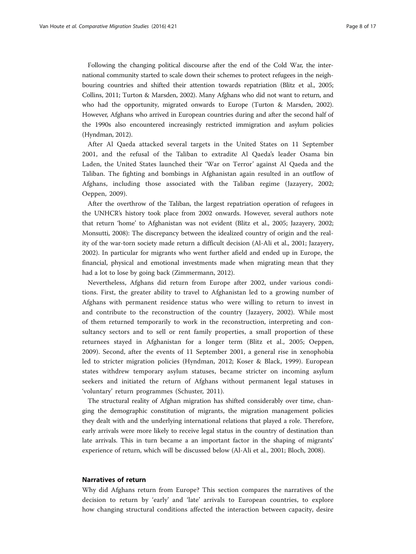Following the changing political discourse after the end of the Cold War, the international community started to scale down their schemes to protect refugees in the neighbouring countries and shifted their attention towards repatriation (Blitz et al., [2005](#page-15-0); Collins, [2011](#page-15-0); Turton & Marsden, [2002\)](#page-16-0). Many Afghans who did not want to return, and who had the opportunity, migrated onwards to Europe (Turton & Marsden, [2002](#page-16-0)). However, Afghans who arrived in European countries during and after the second half of the 1990s also encountered increasingly restricted immigration and asylum policies (Hyndman, [2012\)](#page-16-0).

After Al Qaeda attacked several targets in the United States on 11 September 2001, and the refusal of the Taliban to extradite Al Qaeda's leader Osama bin Laden, the United States launched their 'War on Terror' against Al Qaeda and the Taliban. The fighting and bombings in Afghanistan again resulted in an outflow of Afghans, including those associated with the Taliban regime (Jazayery, [2002](#page-16-0); Oeppen, [2009\)](#page-16-0).

After the overthrow of the Taliban, the largest repatriation operation of refugees in the UNHCR's history took place from 2002 onwards. However, several authors note that return 'home' to Afghanistan was not evident (Blitz et al., [2005;](#page-15-0) Jazayery, [2002](#page-16-0); Monsutti, [2008](#page-16-0)): The discrepancy between the idealized country of origin and the reality of the war-torn society made return a difficult decision (Al-Ali et al., [2001](#page-15-0); Jazayery, [2002](#page-16-0)). In particular for migrants who went further afield and ended up in Europe, the financial, physical and emotional investments made when migrating mean that they had a lot to lose by going back (Zimmermann, [2012\)](#page-16-0).

Nevertheless, Afghans did return from Europe after 2002, under various conditions. First, the greater ability to travel to Afghanistan led to a growing number of Afghans with permanent residence status who were willing to return to invest in and contribute to the reconstruction of the country (Jazayery, [2002\)](#page-16-0). While most of them returned temporarily to work in the reconstruction, interpreting and consultancy sectors and to sell or rent family properties, a small proportion of these returnees stayed in Afghanistan for a longer term (Blitz et al., [2005](#page-15-0); Oeppen, [2009\)](#page-16-0). Second, after the events of 11 September 2001, a general rise in xenophobia led to stricter migration policies (Hyndman, [2012](#page-16-0); Koser & Black, [1999](#page-16-0)). European states withdrew temporary asylum statuses, became stricter on incoming asylum seekers and initiated the return of Afghans without permanent legal statuses in 'voluntary' return programmes (Schuster, [2011\)](#page-16-0).

The structural reality of Afghan migration has shifted considerably over time, changing the demographic constitution of migrants, the migration management policies they dealt with and the underlying international relations that played a role. Therefore, early arrivals were more likely to receive legal status in the country of destination than late arrivals. This in turn became a an important factor in the shaping of migrants' experience of return, which will be discussed below (Al-Ali et al., [2001](#page-15-0); Bloch, [2008](#page-15-0)).

## Narratives of return

Why did Afghans return from Europe? This section compares the narratives of the decision to return by 'early' and 'late' arrivals to European countries, to explore how changing structural conditions affected the interaction between capacity, desire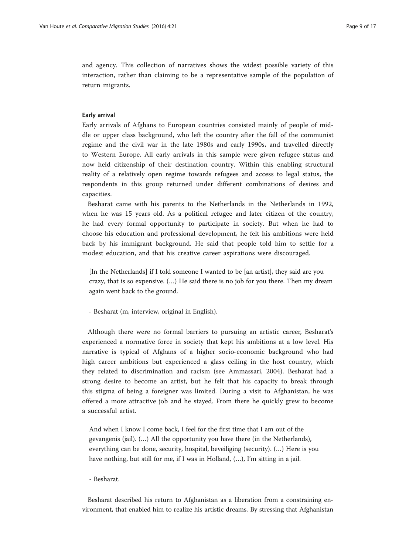and agency. This collection of narratives shows the widest possible variety of this interaction, rather than claiming to be a representative sample of the population of return migrants.

## Early arrival

Early arrivals of Afghans to European countries consisted mainly of people of middle or upper class background, who left the country after the fall of the communist regime and the civil war in the late 1980s and early 1990s, and travelled directly to Western Europe. All early arrivals in this sample were given refugee status and now held citizenship of their destination country. Within this enabling structural reality of a relatively open regime towards refugees and access to legal status, the respondents in this group returned under different combinations of desires and capacities.

Besharat came with his parents to the Netherlands in the Netherlands in 1992, when he was 15 years old. As a political refugee and later citizen of the country, he had every formal opportunity to participate in society. But when he had to choose his education and professional development, he felt his ambitions were held back by his immigrant background. He said that people told him to settle for a modest education, and that his creative career aspirations were discouraged.

[In the Netherlands] if I told someone I wanted to be [an artist], they said are you crazy, that is so expensive. (…) He said there is no job for you there. Then my dream again went back to the ground.

- Besharat (m, interview, original in English).

Although there were no formal barriers to pursuing an artistic career, Besharat's experienced a normative force in society that kept his ambitions at a low level. His narrative is typical of Afghans of a higher socio-economic background who had high career ambitions but experienced a glass ceiling in the host country, which they related to discrimination and racism (see Ammassari, [2004](#page-15-0)). Besharat had a strong desire to become an artist, but he felt that his capacity to break through this stigma of being a foreigner was limited. During a visit to Afghanistan, he was offered a more attractive job and he stayed. From there he quickly grew to become a successful artist.

And when I know I come back, I feel for the first time that I am out of the gevangenis (jail). (…) All the opportunity you have there (in the Netherlands), everything can be done, security, hospital, beveiliging (security). (…) Here is you have nothing, but still for me, if I was in Holland, (…), I'm sitting in a jail.

- Besharat.

Besharat described his return to Afghanistan as a liberation from a constraining environment, that enabled him to realize his artistic dreams. By stressing that Afghanistan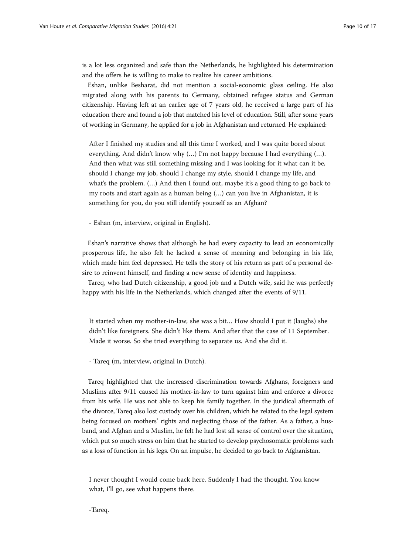is a lot less organized and safe than the Netherlands, he highlighted his determination and the offers he is willing to make to realize his career ambitions.

Eshan, unlike Besharat, did not mention a social-economic glass ceiling. He also migrated along with his parents to Germany, obtained refugee status and German citizenship. Having left at an earlier age of 7 years old, he received a large part of his education there and found a job that matched his level of education. Still, after some years of working in Germany, he applied for a job in Afghanistan and returned. He explained:

After I finished my studies and all this time I worked, and I was quite bored about everything. And didn't know why (…) I'm not happy because I had everything (…). And then what was still something missing and I was looking for it what can it be, should I change my job, should I change my style, should I change my life, and what's the problem. (…) And then I found out, maybe it's a good thing to go back to my roots and start again as a human being (…) can you live in Afghanistan, it is something for you, do you still identify yourself as an Afghan?

- Eshan (m, interview, original in English).

Eshan's narrative shows that although he had every capacity to lead an economically prosperous life, he also felt he lacked a sense of meaning and belonging in his life, which made him feel depressed. He tells the story of his return as part of a personal desire to reinvent himself, and finding a new sense of identity and happiness.

Tareq, who had Dutch citizenship, a good job and a Dutch wife, said he was perfectly happy with his life in the Netherlands, which changed after the events of 9/11.

It started when my mother-in-law, she was a bit… How should I put it (laughs) she didn't like foreigners. She didn't like them. And after that the case of 11 September. Made it worse. So she tried everything to separate us. And she did it.

- Tareq (m, interview, original in Dutch).

Tareq highlighted that the increased discrimination towards Afghans, foreigners and Muslims after 9/11 caused his mother-in-law to turn against him and enforce a divorce from his wife. He was not able to keep his family together. In the juridical aftermath of the divorce, Tareq also lost custody over his children, which he related to the legal system being focused on mothers' rights and neglecting those of the father. As a father, a husband, and Afghan and a Muslim, he felt he had lost all sense of control over the situation, which put so much stress on him that he started to develop psychosomatic problems such as a loss of function in his legs. On an impulse, he decided to go back to Afghanistan.

I never thought I would come back here. Suddenly I had the thought. You know what, I'll go, see what happens there.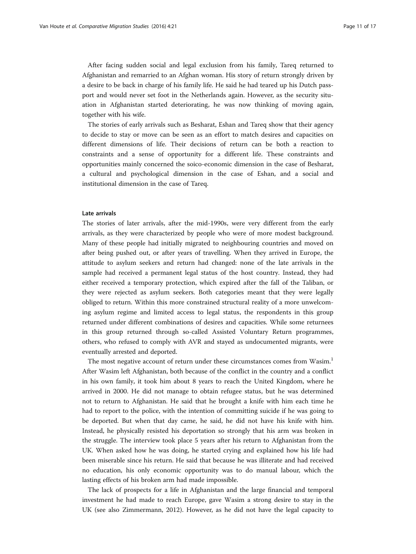After facing sudden social and legal exclusion from his family, Tareq returned to Afghanistan and remarried to an Afghan woman. His story of return strongly driven by a desire to be back in charge of his family life. He said he had teared up his Dutch passport and would never set foot in the Netherlands again. However, as the security situation in Afghanistan started deteriorating, he was now thinking of moving again, together with his wife.

The stories of early arrivals such as Besharat, Eshan and Tareq show that their agency to decide to stay or move can be seen as an effort to match desires and capacities on different dimensions of life. Their decisions of return can be both a reaction to constraints and a sense of opportunity for a different life. These constraints and opportunities mainly concerned the soico-economic dimension in the case of Besharat, a cultural and psychological dimension in the case of Eshan, and a social and institutional dimension in the case of Tareq.

## Late arrivals

The stories of later arrivals, after the mid-1990s, were very different from the early arrivals, as they were characterized by people who were of more modest background. Many of these people had initially migrated to neighbouring countries and moved on after being pushed out, or after years of travelling. When they arrived in Europe, the attitude to asylum seekers and return had changed: none of the late arrivals in the sample had received a permanent legal status of the host country. Instead, they had either received a temporary protection, which expired after the fall of the Taliban, or they were rejected as asylum seekers. Both categories meant that they were legally obliged to return. Within this more constrained structural reality of a more unwelcoming asylum regime and limited access to legal status, the respondents in this group returned under different combinations of desires and capacities. While some returnees in this group returned through so-called Assisted Voluntary Return programmes, others, who refused to comply with AVR and stayed as undocumented migrants, were eventually arrested and deported.

The most negative account of return under these circumstances comes from Wasim.<sup>1</sup> After Wasim left Afghanistan, both because of the conflict in the country and a conflict in his own family, it took him about 8 years to reach the United Kingdom, where he arrived in 2000. He did not manage to obtain refugee status, but he was determined not to return to Afghanistan. He said that he brought a knife with him each time he had to report to the police, with the intention of committing suicide if he was going to be deported. But when that day came, he said, he did not have his knife with him. Instead, he physically resisted his deportation so strongly that his arm was broken in the struggle. The interview took place 5 years after his return to Afghanistan from the UK. When asked how he was doing, he started crying and explained how his life had been miserable since his return. He said that because he was illiterate and had received no education, his only economic opportunity was to do manual labour, which the lasting effects of his broken arm had made impossible.

The lack of prospects for a life in Afghanistan and the large financial and temporal investment he had made to reach Europe, gave Wasim a strong desire to stay in the UK (see also Zimmermann, [2012\)](#page-16-0). However, as he did not have the legal capacity to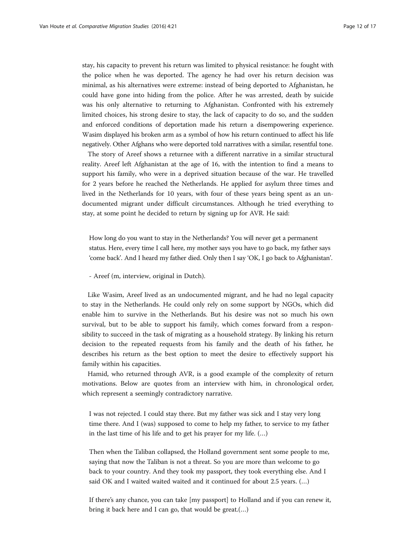stay, his capacity to prevent his return was limited to physical resistance: he fought with the police when he was deported. The agency he had over his return decision was minimal, as his alternatives were extreme: instead of being deported to Afghanistan, he could have gone into hiding from the police. After he was arrested, death by suicide was his only alternative to returning to Afghanistan. Confronted with his extremely limited choices, his strong desire to stay, the lack of capacity to do so, and the sudden and enforced conditions of deportation made his return a disempowering experience. Wasim displayed his broken arm as a symbol of how his return continued to affect his life negatively. Other Afghans who were deported told narratives with a similar, resentful tone.

The story of Areef shows a returnee with a different narrative in a similar structural reality. Areef left Afghanistan at the age of 16, with the intention to find a means to support his family, who were in a deprived situation because of the war. He travelled for 2 years before he reached the Netherlands. He applied for asylum three times and lived in the Netherlands for 10 years, with four of these years being spent as an undocumented migrant under difficult circumstances. Although he tried everything to stay, at some point he decided to return by signing up for AVR. He said:

How long do you want to stay in the Netherlands? You will never get a permanent status. Here, every time I call here, my mother says you have to go back, my father says 'come back'. And I heard my father died. Only then I say 'OK, I go back to Afghanistan'.

- Areef (m, interview, original in Dutch).

Like Wasim, Areef lived as an undocumented migrant, and he had no legal capacity to stay in the Netherlands. He could only rely on some support by NGOs, which did enable him to survive in the Netherlands. But his desire was not so much his own survival, but to be able to support his family, which comes forward from a responsibility to succeed in the task of migrating as a household strategy. By linking his return decision to the repeated requests from his family and the death of his father, he describes his return as the best option to meet the desire to effectively support his family within his capacities.

Hamid, who returned through AVR, is a good example of the complexity of return motivations. Below are quotes from an interview with him, in chronological order, which represent a seemingly contradictory narrative.

I was not rejected. I could stay there. But my father was sick and I stay very long time there. And I (was) supposed to come to help my father, to service to my father in the last time of his life and to get his prayer for my life. (…)

Then when the Taliban collapsed, the Holland government sent some people to me, saying that now the Taliban is not a threat. So you are more than welcome to go back to your country. And they took my passport, they took everything else. And I said OK and I waited waited waited and it continued for about 2.5 years. (…)

If there's any chance, you can take [my passport] to Holland and if you can renew it, bring it back here and I can go, that would be great.(…)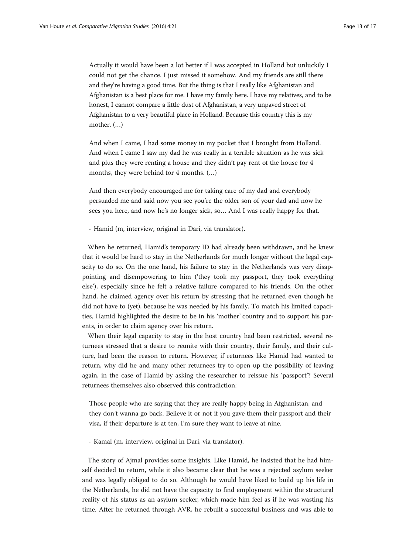Actually it would have been a lot better if I was accepted in Holland but unluckily I could not get the chance. I just missed it somehow. And my friends are still there and they're having a good time. But the thing is that I really like Afghanistan and Afghanistan is a best place for me. I have my family here. I have my relatives, and to be honest, I cannot compare a little dust of Afghanistan, a very unpaved street of Afghanistan to a very beautiful place in Holland. Because this country this is my mother. (…)

And when I came, I had some money in my pocket that I brought from Holland. And when I came I saw my dad he was really in a terrible situation as he was sick and plus they were renting a house and they didn't pay rent of the house for 4 months, they were behind for 4 months. (…)

And then everybody encouraged me for taking care of my dad and everybody persuaded me and said now you see you're the older son of your dad and now he sees you here, and now he's no longer sick, so… And I was really happy for that.

- Hamid (m, interview, original in Dari, via translator).

When he returned, Hamid's temporary ID had already been withdrawn, and he knew that it would be hard to stay in the Netherlands for much longer without the legal capacity to do so. On the one hand, his failure to stay in the Netherlands was very disappointing and disempowering to him ('they took my passport, they took everything else'), especially since he felt a relative failure compared to his friends. On the other hand, he claimed agency over his return by stressing that he returned even though he did not have to (yet), because he was needed by his family. To match his limited capacities, Hamid highlighted the desire to be in his 'mother' country and to support his parents, in order to claim agency over his return.

When their legal capacity to stay in the host country had been restricted, several returnees stressed that a desire to reunite with their country, their family, and their culture, had been the reason to return. However, if returnees like Hamid had wanted to return, why did he and many other returnees try to open up the possibility of leaving again, in the case of Hamid by asking the researcher to reissue his 'passport'? Several returnees themselves also observed this contradiction:

Those people who are saying that they are really happy being in Afghanistan, and they don't wanna go back. Believe it or not if you gave them their passport and their visa, if their departure is at ten, I'm sure they want to leave at nine.

- Kamal (m, interview, original in Dari, via translator).

The story of Ajmal provides some insights. Like Hamid, he insisted that he had himself decided to return, while it also became clear that he was a rejected asylum seeker and was legally obliged to do so. Although he would have liked to build up his life in the Netherlands, he did not have the capacity to find employment within the structural reality of his status as an asylum seeker, which made him feel as if he was wasting his time. After he returned through AVR, he rebuilt a successful business and was able to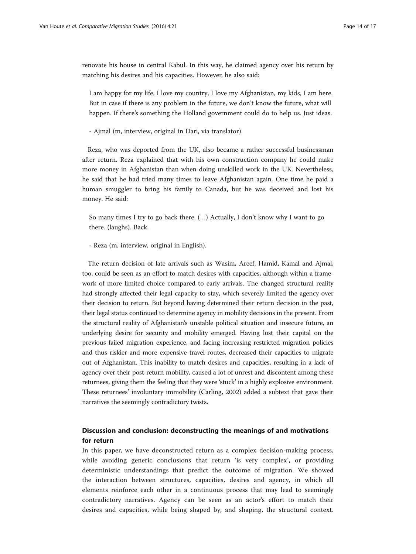renovate his house in central Kabul. In this way, he claimed agency over his return by matching his desires and his capacities. However, he also said:

I am happy for my life, I love my country, I love my Afghanistan, my kids, I am here. But in case if there is any problem in the future, we don't know the future, what will happen. If there's something the Holland government could do to help us. Just ideas.

- Ajmal (m, interview, original in Dari, via translator).

Reza, who was deported from the UK, also became a rather successful businessman after return. Reza explained that with his own construction company he could make more money in Afghanistan than when doing unskilled work in the UK. Nevertheless, he said that he had tried many times to leave Afghanistan again. One time he paid a human smuggler to bring his family to Canada, but he was deceived and lost his money. He said:

So many times I try to go back there. (…) Actually, I don't know why I want to go there. (laughs). Back.

- Reza (m, interview, original in English).

The return decision of late arrivals such as Wasim, Areef, Hamid, Kamal and Ajmal, too, could be seen as an effort to match desires with capacities, although within a framework of more limited choice compared to early arrivals. The changed structural reality had strongly affected their legal capacity to stay, which severely limited the agency over their decision to return. But beyond having determined their return decision in the past, their legal status continued to determine agency in mobility decisions in the present. From the structural reality of Afghanistan's unstable political situation and insecure future, an underlying desire for security and mobility emerged. Having lost their capital on the previous failed migration experience, and facing increasing restricted migration policies and thus riskier and more expensive travel routes, decreased their capacities to migrate out of Afghanistan. This inability to match desires and capacities, resulting in a lack of agency over their post-return mobility, caused a lot of unrest and discontent among these returnees, giving them the feeling that they were 'stuck' in a highly explosive environment. These returnees' involuntary immobility (Carling, [2002\)](#page-15-0) added a subtext that gave their narratives the seemingly contradictory twists.

# Discussion and conclusion: deconstructing the meanings of and motivations for return

In this paper, we have deconstructed return as a complex decision-making process, while avoiding generic conclusions that return 'is very complex', or providing deterministic understandings that predict the outcome of migration. We showed the interaction between structures, capacities, desires and agency, in which all elements reinforce each other in a continuous process that may lead to seemingly contradictory narratives. Agency can be seen as an actor's effort to match their desires and capacities, while being shaped by, and shaping, the structural context.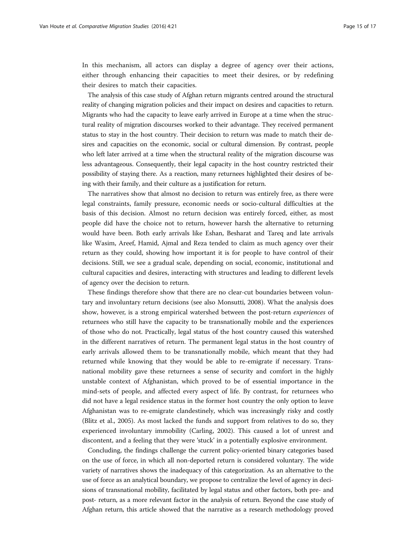In this mechanism, all actors can display a degree of agency over their actions, either through enhancing their capacities to meet their desires, or by redefining their desires to match their capacities.

The analysis of this case study of Afghan return migrants centred around the structural reality of changing migration policies and their impact on desires and capacities to return. Migrants who had the capacity to leave early arrived in Europe at a time when the structural reality of migration discourses worked to their advantage. They received permanent status to stay in the host country. Their decision to return was made to match their desires and capacities on the economic, social or cultural dimension. By contrast, people who left later arrived at a time when the structural reality of the migration discourse was less advantageous. Consequently, their legal capacity in the host country restricted their possibility of staying there. As a reaction, many returnees highlighted their desires of being with their family, and their culture as a justification for return.

The narratives show that almost no decision to return was entirely free, as there were legal constraints, family pressure, economic needs or socio-cultural difficulties at the basis of this decision. Almost no return decision was entirely forced, either, as most people did have the choice not to return, however harsh the alternative to returning would have been. Both early arrivals like Eshan, Besharat and Tareq and late arrivals like Wasim, Areef, Hamid, Ajmal and Reza tended to claim as much agency over their return as they could, showing how important it is for people to have control of their decisions. Still, we see a gradual scale, depending on social, economic, institutional and cultural capacities and desires, interacting with structures and leading to different levels of agency over the decision to return.

These findings therefore show that there are no clear-cut boundaries between voluntary and involuntary return decisions (see also Monsutti, [2008](#page-16-0)). What the analysis does show, however, is a strong empirical watershed between the post-return *experiences* of returnees who still have the capacity to be transnationally mobile and the experiences of those who do not. Practically, legal status of the host country caused this watershed in the different narratives of return. The permanent legal status in the host country of early arrivals allowed them to be transnationally mobile, which meant that they had returned while knowing that they would be able to re-emigrate if necessary. Transnational mobility gave these returnees a sense of security and comfort in the highly unstable context of Afghanistan, which proved to be of essential importance in the mind-sets of people, and affected every aspect of life. By contrast, for returnees who did not have a legal residence status in the former host country the only option to leave Afghanistan was to re-emigrate clandestinely, which was increasingly risky and costly (Blitz et al., [2005](#page-15-0)). As most lacked the funds and support from relatives to do so, they experienced involuntary immobility (Carling, [2002\)](#page-15-0). This caused a lot of unrest and discontent, and a feeling that they were 'stuck' in a potentially explosive environment.

Concluding, the findings challenge the current policy-oriented binary categories based on the use of force, in which all non-deported return is considered voluntary. The wide variety of narratives shows the inadequacy of this categorization. As an alternative to the use of force as an analytical boundary, we propose to centralize the level of agency in decisions of transnational mobility, facilitated by legal status and other factors, both pre- and post- return, as a more relevant factor in the analysis of return. Beyond the case study of Afghan return, this article showed that the narrative as a research methodology proved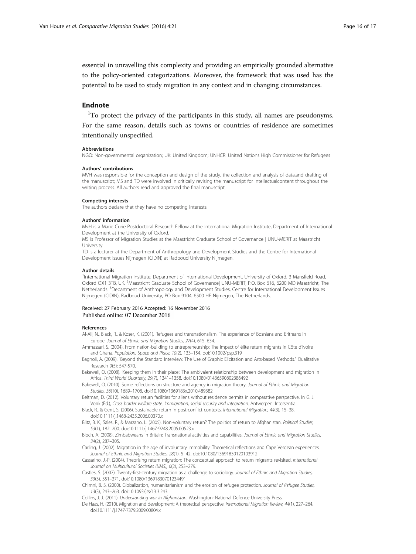<span id="page-15-0"></span>essential in unravelling this complexity and providing an empirically grounded alternative to the policy-oriented categorizations. Moreover, the framework that was used has the potential to be used to study migration in any context and in changing circumstances.

# Endnote

<sup>1</sup>To protect the privacy of the participants in this study, all names are pseudonyms. For the same reason, details such as towns or countries of residence are sometimes intentionally unspecified.

#### **Abbreviations**

NGO: Non-governmental organization; UK: United Kingdom; UNHCR: United Nations High Commissioner for Refugees

## Authors' contributions

MVH was responsible for the conception and design of the study, the collection and analysis of data,and drafting of the manuscript; MS and TD were involved in critically revising the manuscript for intellectualcontent throughout the writing process. All authors read and approved the final manuscript.

#### Competing interests

The authors declare that they have no competing interests.

#### Authors' information

MvH is a Marie Curie Postdoctoral Research Fellow at the International Migration Institute, Department of International Development at the University of Oxford.

MS is Professor of Migration Studies at the Maastricht Graduate School of Governance | UNU-MERIT at Maastricht University.

TD is a lecturer at the Department of Anthropology and Development Studies and the Centre for International Development Issues Nijmegen (CIDIN) at Radboud University Nijmegen.

#### Author details

<sup>1</sup>International Migration Institute, Department of International Development, University of Oxford, 3 Mansfield Road, Oxford OX1 3TB, UK. <sup>2</sup>Maastricht Graduate School of Governance| UNU-MERIT, P.O. Box 616, 6200 MD Maastricht, The Netherlands. <sup>3</sup>Department of Anthropology and Development Studies, Centre for International Development Issues Nijmegen (CIDIN), Radboud University, PO Box 9104, 6500 HE Nijmegen, The Netherlands.

## Received: 27 February 2016 Accepted: 16 November 2016 Published online: 07 December 2016

#### References

Al-Ali, N., Black, R., & Koser, K. (2001). Refugees and transnationalism: The experience of Bosnians and Eritreans in Europe. Journal of Ethnic and Migration Studies, 27(4), 615–634.

Ammassari, S. (2004). From nation-building to entrepreneurship: The impact of élite return migrants in Côte d'Ivoire and Ghana. Population, Space and Place, 10(2), 133–154. doi:[10.1002/psp.319](http://dx.doi.org/10.1002/psp.319)

Bagnoli, A. (2009). "Beyond the Standard Interview: The Use of Graphic Elicitation and Arts-based Methods." Qualitative Research 9(5): 547-570.

Bakewell, O. (2008). 'Keeping them in their place': The ambivalent relationship between development and migration in Africa. Third World Quarterly, 29(7), 1341–1358. doi[:10.1080/01436590802386492](http://dx.doi.org/10.1080/01436590802386492)

Bakewell, O. (2010). Some reflections on structure and agency in migration theory. Journal of Ethnic and Migration Studies, 36(10), 1689–1708. doi[:10.1080/1369183x.2010.489382](http://dx.doi.org/10.1080/1369183x.2010.489382)

- Beltman, D. (2012). Voluntary return facilities for aliens without residence permits in comparative perspective. In G. J. Vonk (Ed.), Cross border welfare state. Immigration, social security and integration. Antwerpen: Intersentia.
- Black, R., & Gent, S. (2006). Sustainable return in post-conflict contexts. International Migration, 44(3), 15–38. doi:[10.1111/j.1468-2435.2006.00370.x](http://dx.doi.org/10.1111/j.1468-2435.2006.00370.x)

Blitz, B. K., Sales, R., & Marzano, L. (2005). Non-voluntary return? The politics of return to Afghanistan. Political Studies, 53(1), 182–200. doi[:10.1111/j.1467-9248.2005.00523.x](http://dx.doi.org/10.1111/j.1467-9248.2005.00523.x)

Bloch, A. (2008). Zimbabweans in Britain: Transnational activities and capabilities. Journal of Ethnic and Migration Studies, 34(2), 287–305.

Carling, J. (2002). Migration in the age of involuntary immobility: Theoretical reflections and Cape Verdean experiences. Journal of Ethnic and Migration Studies, 28(1), 5–42. doi:[10.1080/13691830120103912](http://dx.doi.org/10.1080/13691830120103912)

Cassarino, J.-P. (2004). Theorising return migration: The conceptual approach to return migrants revisited. International Journal on Multicultural Societies (IJMS), 6(2), 253–279.

Castles, S. (2007). Twenty-first-century migration as a challenge to sociology. Journal of Ethnic and Migration Studies, 33(3), 351–371. doi[:10.1080/13691830701234491](http://dx.doi.org/10.1080/13691830701234491)

Chimni, B. S. (2000). Globalization, humanitarianism and the erosion of refugee protection. Journal of Refugee Studies, 13(3), 243–263. doi[:10.1093/jrs/13.3.243](http://dx.doi.org/10.1093/jrs/13.3.243)

Collins, J. J. (2011). Understanding war in Afghanistan. Washington: National Defence University Press.

De Haas, H. (2010). Migration and development: A theoretical perspective. International Migration Review, 44(1), 227–264. doi:[10.1111/j.1747-7379.2009.00804.x](http://dx.doi.org/10.1111/j.1747-7379.2009.00804.x)